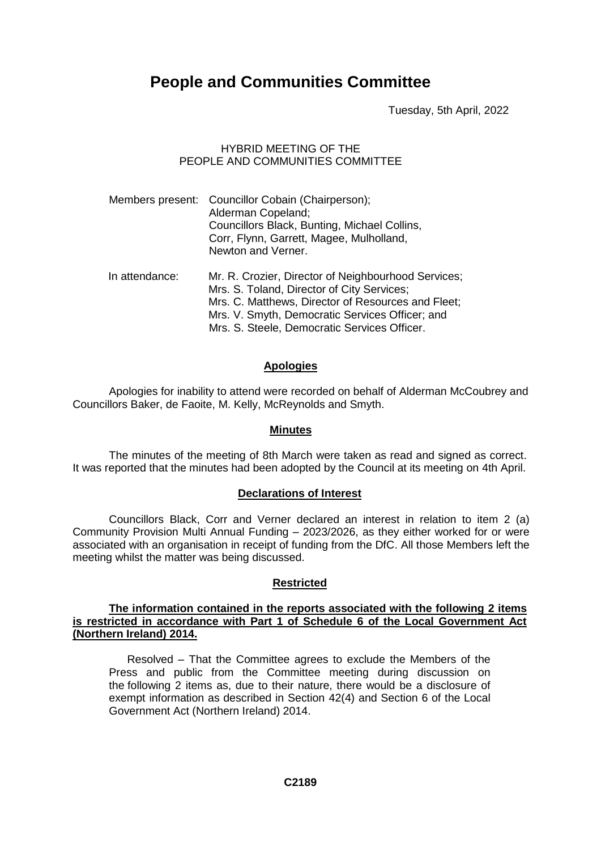# **People and Communities Committee**

Tuesday, 5th April, 2022

# HYBRID MEETING OF THE PEOPLE AND COMMUNITIES COMMITTEE

|                | Members present: Councillor Cobain (Chairperson);<br>Alderman Copeland;<br>Councillors Black, Bunting, Michael Collins,<br>Corr, Flynn, Garrett, Magee, Mulholland,<br>Newton and Verner.                  |
|----------------|------------------------------------------------------------------------------------------------------------------------------------------------------------------------------------------------------------|
| In attendance: | Mr. R. Crozier, Director of Neighbourhood Services;<br>Mrs. S. Toland, Director of City Services;<br>Mrs. C. Matthews, Director of Resources and Fleet;<br>Mrs. V. Smyth, Democratic Services Officer; and |

Mrs. S. Steele, Democratic Services Officer.

## **Apologies**

Apologies for inability to attend were recorded on behalf of Alderman McCoubrey and Councillors Baker, de Faoite, M. Kelly, McReynolds and Smyth.

#### **Minutes**

The minutes of the meeting of 8th March were taken as read and signed as correct. It was reported that the minutes had been adopted by the Council at its meeting on 4th April.

#### **Declarations of Interest**

Councillors Black, Corr and Verner declared an interest in relation to item 2 (a) Community Provision Multi Annual Funding – 2023/2026, as they either worked for or were associated with an organisation in receipt of funding from the DfC. All those Members left the meeting whilst the matter was being discussed.

# **Restricted**

#### **The information contained in the reports associated with the following 2 items is restricted in accordance with Part 1 of Schedule 6 of the Local Government Act (Northern Ireland) 2014.**

Resolved – That the Committee agrees to exclude the Members of the Press and public from the Committee meeting during discussion on the following 2 items as, due to their nature, there would be a disclosure of exempt information as described in Section 42(4) and Section 6 of the Local Government Act (Northern Ireland) 2014.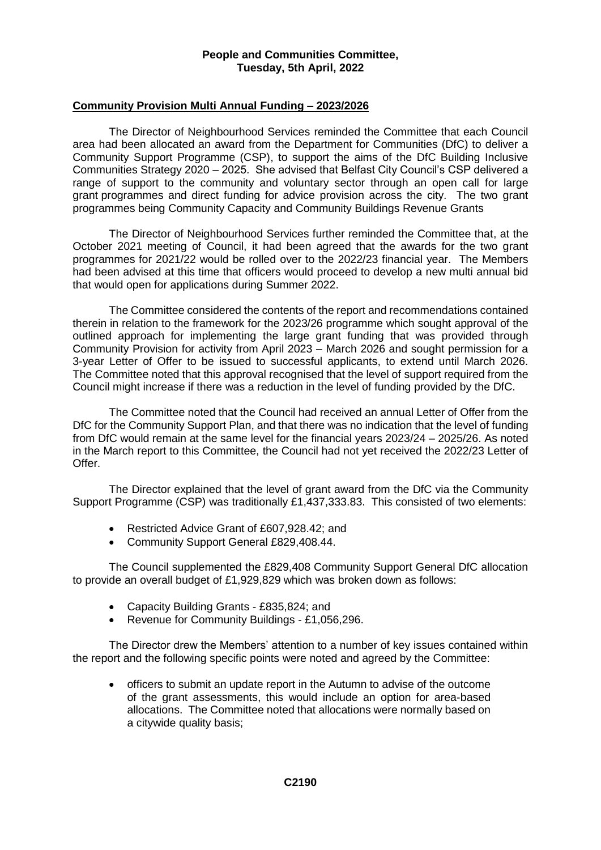## **Community Provision Multi Annual Funding – 2023/2026**

The Director of Neighbourhood Services reminded the Committee that each Council area had been allocated an award from the Department for Communities (DfC) to deliver a Community Support Programme (CSP), to support the aims of the DfC Building Inclusive Communities Strategy 2020 – 2025. She advised that Belfast City Council's CSP delivered a range of support to the community and voluntary sector through an open call for large grant programmes and direct funding for advice provision across the city. The two grant programmes being Community Capacity and Community Buildings Revenue Grants

The Director of Neighbourhood Services further reminded the Committee that, at the October 2021 meeting of Council, it had been agreed that the awards for the two grant programmes for 2021/22 would be rolled over to the 2022/23 financial year. The Members had been advised at this time that officers would proceed to develop a new multi annual bid that would open for applications during Summer 2022.

The Committee considered the contents of the report and recommendations contained therein in relation to the framework for the 2023/26 programme which sought approval of the outlined approach for implementing the large grant funding that was provided through Community Provision for activity from April 2023 – March 2026 and sought permission for a 3-year Letter of Offer to be issued to successful applicants, to extend until March 2026. The Committee noted that this approval recognised that the level of support required from the Council might increase if there was a reduction in the level of funding provided by the DfC.

The Committee noted that the Council had received an annual Letter of Offer from the DfC for the Community Support Plan, and that there was no indication that the level of funding from DfC would remain at the same level for the financial years 2023/24 – 2025/26. As noted in the March report to this Committee, the Council had not yet received the 2022/23 Letter of Offer.

The Director explained that the level of grant award from the DfC via the Community Support Programme (CSP) was traditionally £1,437,333.83. This consisted of two elements:

- Restricted Advice Grant of £607,928.42; and
- Community Support General £829,408.44.

The Council supplemented the £829,408 Community Support General DfC allocation to provide an overall budget of £1,929,829 which was broken down as follows:

- Capacity Building Grants £835,824; and
- Revenue for Community Buildings £1,056,296.

The Director drew the Members' attention to a number of key issues contained within the report and the following specific points were noted and agreed by the Committee:

 officers to submit an update report in the Autumn to advise of the outcome of the grant assessments, this would include an option for area-based allocations. The Committee noted that allocations were normally based on a citywide quality basis;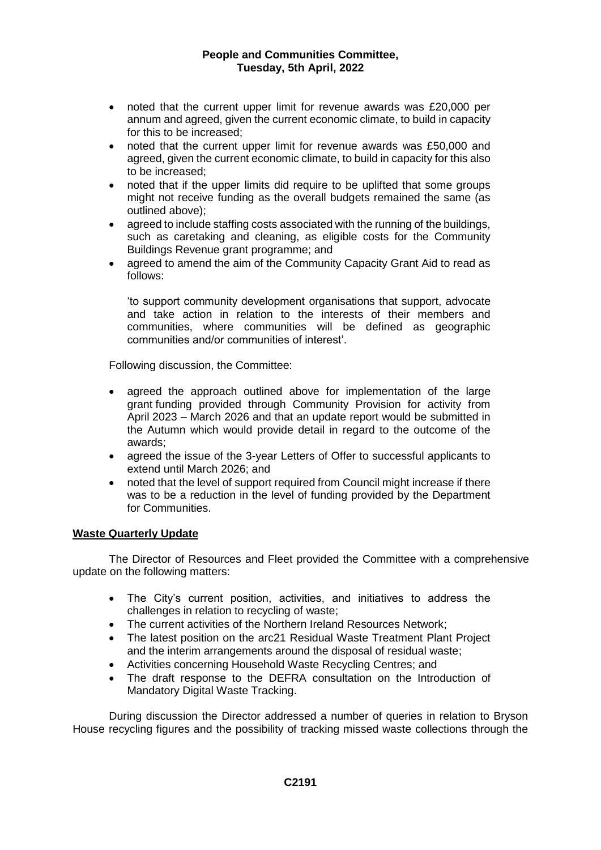- noted that the current upper limit for revenue awards was £20,000 per annum and agreed, given the current economic climate, to build in capacity for this to be increased;
- noted that the current upper limit for revenue awards was £50,000 and agreed, given the current economic climate, to build in capacity for this also to be increased;
- noted that if the upper limits did require to be uplifted that some groups might not receive funding as the overall budgets remained the same (as outlined above);
- agreed to include staffing costs associated with the running of the buildings, such as caretaking and cleaning, as eligible costs for the Community Buildings Revenue grant programme; and
- agreed to amend the aim of the Community Capacity Grant Aid to read as follows:

'to support community development organisations that support, advocate and take action in relation to the interests of their members and communities, where communities will be defined as geographic communities and/or communities of interest'.

Following discussion, the Committee:

- agreed the approach outlined above for implementation of the large grant funding provided through Community Provision for activity from April 2023 – March 2026 and that an update report would be submitted in the Autumn which would provide detail in regard to the outcome of the awards;
- agreed the issue of the 3-year Letters of Offer to successful applicants to extend until March 2026; and
- noted that the level of support required from Council might increase if there was to be a reduction in the level of funding provided by the Department for Communities.

# **Waste Quarterly Update**

The Director of Resources and Fleet provided the Committee with a comprehensive update on the following matters:

- The City's current position, activities, and initiatives to address the challenges in relation to recycling of waste;
- The current activities of the Northern Ireland Resources Network;
- The latest position on the arc21 Residual Waste Treatment Plant Project and the interim arrangements around the disposal of residual waste;
- Activities concerning Household Waste Recycling Centres; and
- The draft response to the DEFRA consultation on the Introduction of Mandatory Digital Waste Tracking.

During discussion the Director addressed a number of queries in relation to Bryson House recycling figures and the possibility of tracking missed waste collections through the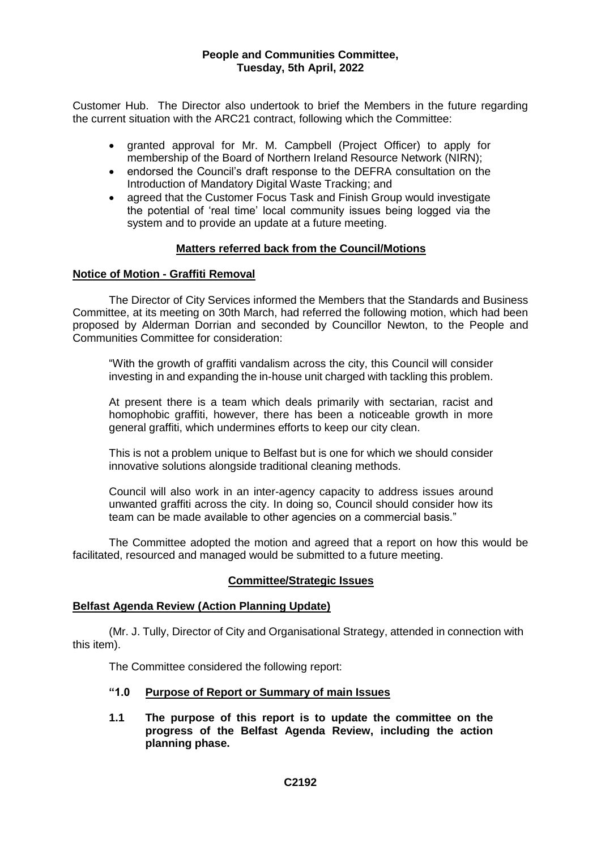Customer Hub. The Director also undertook to brief the Members in the future regarding the current situation with the ARC21 contract, following which the Committee:

- granted approval for Mr. M. Campbell (Project Officer) to apply for membership of the Board of Northern Ireland Resource Network (NIRN);
- endorsed the Council's draft response to the DEFRA consultation on the Introduction of Mandatory Digital Waste Tracking; and
- agreed that the Customer Focus Task and Finish Group would investigate the potential of 'real time' local community issues being logged via the system and to provide an update at a future meeting.

## **Matters referred back from the Council/Motions**

## **Notice of Motion - Graffiti Removal**

The Director of City Services informed the Members that the Standards and Business Committee, at its meeting on 30th March, had referred the following motion, which had been proposed by Alderman Dorrian and seconded by Councillor Newton, to the People and Communities Committee for consideration:

"With the growth of graffiti vandalism across the city, this Council will consider investing in and expanding the in-house unit charged with tackling this problem.

At present there is a team which deals primarily with sectarian, racist and homophobic graffiti, however, there has been a noticeable growth in more general graffiti, which undermines efforts to keep our city clean.

This is not a problem unique to Belfast but is one for which we should consider innovative solutions alongside traditional cleaning methods.

Council will also work in an inter-agency capacity to address issues around unwanted graffiti across the city. In doing so, Council should consider how its team can be made available to other agencies on a commercial basis."

The Committee adopted the motion and agreed that a report on how this would be facilitated, resourced and managed would be submitted to a future meeting.

#### **Committee/Strategic Issues**

#### **Belfast Agenda Review (Action Planning Update)**

(Mr. J. Tully, Director of City and Organisational Strategy, attended in connection with this item).

The Committee considered the following report:

- **"1.0 Purpose of Report or Summary of main Issues**
- **1.1 The purpose of this report is to update the committee on the progress of the Belfast Agenda Review, including the action planning phase.**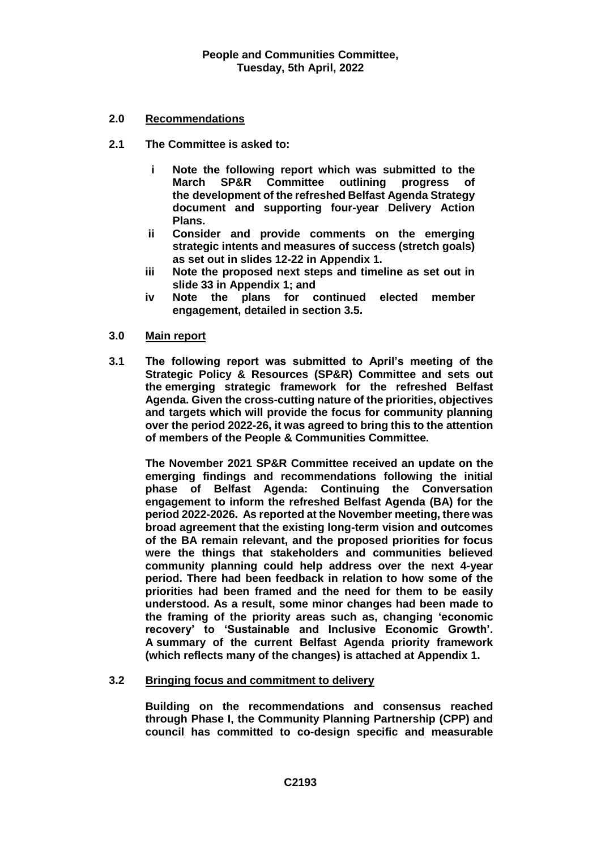# **2.0 Recommendations**

- **2.1 The Committee is asked to:**
	- **i Note the following report which was submitted to the March SP&R Committee outlining progress of the development of the refreshed Belfast Agenda Strategy document and supporting four-year Delivery Action Plans.**
	- **ii Consider and provide comments on the emerging strategic intents and measures of success (stretch goals) as set out in slides 12-22 in Appendix 1.**
	- **iii Note the proposed next steps and timeline as set out in slide 33 in Appendix 1; and**
	- **iv Note the plans for continued elected member engagement, detailed in section 3.5.**

## **3.0 Main report**

**3.1 The following report was submitted to April's meeting of the Strategic Policy & Resources (SP&R) Committee and sets out the emerging strategic framework for the refreshed Belfast Agenda. Given the cross-cutting nature of the priorities, objectives and targets which will provide the focus for community planning over the period 2022-26, it was agreed to bring this to the attention of members of the People & Communities Committee.**

**The November 2021 SP&R Committee received an update on the emerging findings and recommendations following the initial phase of Belfast Agenda: Continuing the Conversation engagement to inform the refreshed Belfast Agenda (BA) for the period 2022-2026. As reported at the November meeting, there was broad agreement that the existing long-term vision and outcomes of the BA remain relevant, and the proposed priorities for focus were the things that stakeholders and communities believed community planning could help address over the next 4-year period. There had been feedback in relation to how some of the priorities had been framed and the need for them to be easily understood. As a result, some minor changes had been made to the framing of the priority areas such as, changing 'economic recovery' to 'Sustainable and Inclusive Economic Growth'. A summary of the current Belfast Agenda priority framework (which reflects many of the changes) is attached at Appendix 1.** 

# **3.2 Bringing focus and commitment to delivery**

**Building on the recommendations and consensus reached through Phase I, the Community Planning Partnership (CPP) and council has committed to co-design specific and measurable**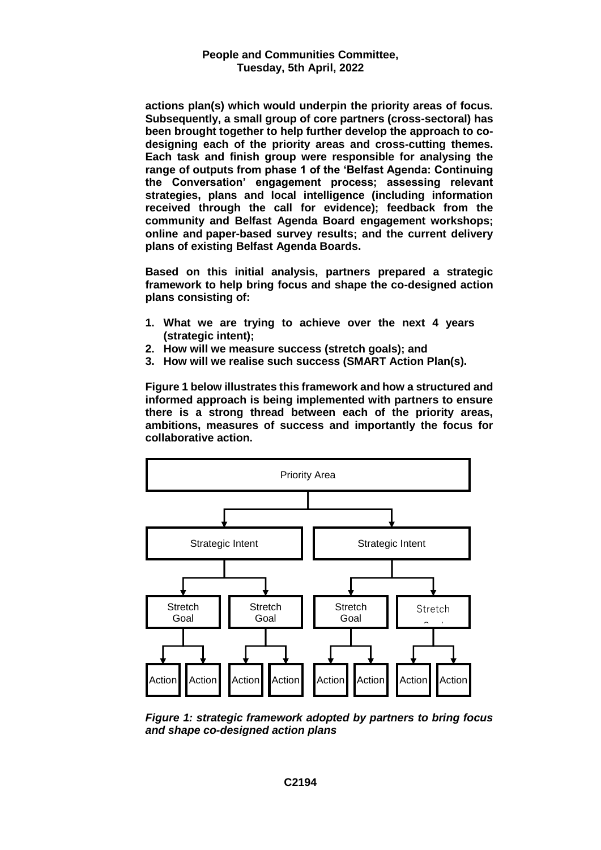**actions plan(s) which would underpin the priority areas of focus. Subsequently, a small group of core partners (cross-sectoral) has been brought together to help further develop the approach to codesigning each of the priority areas and cross-cutting themes. Each task and finish group were responsible for analysing the range of outputs from phase 1 of the 'Belfast Agenda: Continuing the Conversation' engagement process; assessing relevant strategies, plans and local intelligence (including information received through the call for evidence); feedback from the community and Belfast Agenda Board engagement workshops; online and paper-based survey results; and the current delivery plans of existing Belfast Agenda Boards.** 

**Based on this initial analysis, partners prepared a strategic framework to help bring focus and shape the co-designed action plans consisting of:**

- **1. What we are trying to achieve over the next 4 years (strategic intent);**
- **2. How will we measure success (stretch goals); and**
- **3. How will we realise such success (SMART Action Plan(s).**

**Figure 1 below illustrates this framework and how a structured and informed approach is being implemented with partners to ensure there is a strong thread between each of the priority areas, ambitions, measures of success and importantly the focus for collaborative action.**



*Figure 1: strategic framework adopted by partners to bring focus and shape co-designed action plans*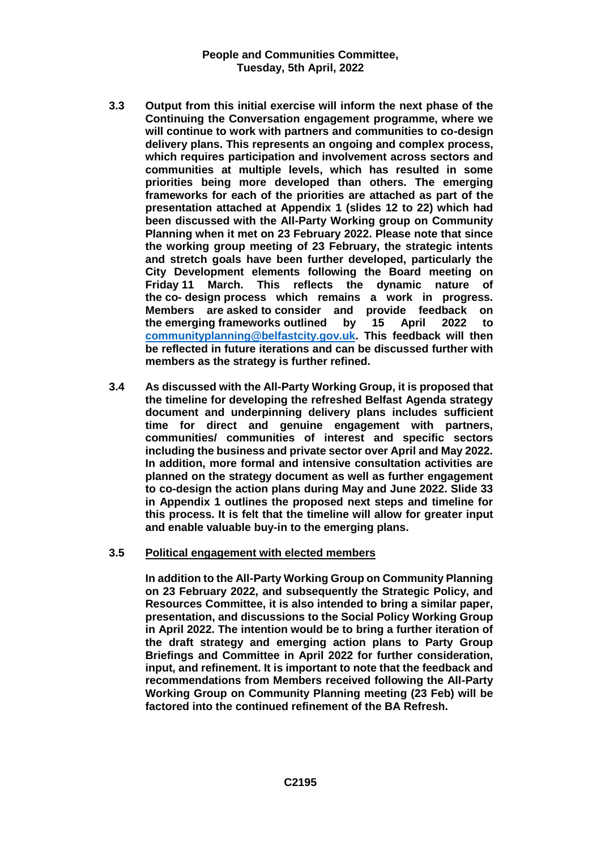- **3.3 Output from this initial exercise will inform the next phase of the Continuing the Conversation engagement programme, where we will continue to work with partners and communities to co-design delivery plans. This represents an ongoing and complex process, which requires participation and involvement across sectors and communities at multiple levels, which has resulted in some priorities being more developed than others. The emerging frameworks for each of the priorities are attached as part of the presentation attached at Appendix 1 (slides 12 to 22) which had been discussed with the All-Party Working group on Community Planning when it met on 23 February 2022. Please note that since the working group meeting of 23 February, the strategic intents and stretch goals have been further developed, particularly the City Development elements following the Board meeting on March.** This reflects the dynamic nature of **the co- design process which remains a work in progress. Members are asked to consider and provide feedback on the emerging frameworks outlined by 15 April 2022 to [communityplanning@belfastcity.gov.uk.](mailto:communityplanning@belfastcity.gov.uk) This feedback will then be reflected in future iterations and can be discussed further with members as the strategy is further refined.**
- **3.4 As discussed with the All-Party Working Group, it is proposed that the timeline for developing the refreshed Belfast Agenda strategy document and underpinning delivery plans includes sufficient time for direct and genuine engagement with partners, communities/ communities of interest and specific sectors including the business and private sector over April and May 2022. In addition, more formal and intensive consultation activities are planned on the strategy document as well as further engagement to co-design the action plans during May and June 2022. Slide 33 in Appendix 1 outlines the proposed next steps and timeline for this process. It is felt that the timeline will allow for greater input and enable valuable buy-in to the emerging plans.**
- **3.5 Political engagement with elected members**

**In addition to the All-Party Working Group on Community Planning on 23 February 2022, and subsequently the Strategic Policy, and Resources Committee, it is also intended to bring a similar paper, presentation, and discussions to the Social Policy Working Group in April 2022. The intention would be to bring a further iteration of the draft strategy and emerging action plans to Party Group Briefings and Committee in April 2022 for further consideration, input, and refinement. It is important to note that the feedback and recommendations from Members received following the All-Party Working Group on Community Planning meeting (23 Feb) will be factored into the continued refinement of the BA Refresh.**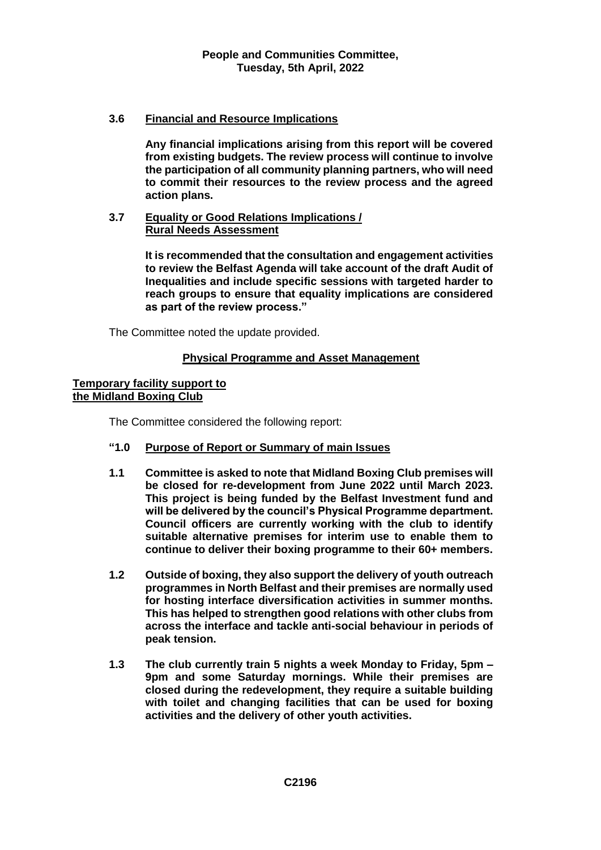# **3.6 Financial and Resource Implications**

**Any financial implications arising from this report will be covered from existing budgets. The review process will continue to involve the participation of all community planning partners, who will need to commit their resources to the review process and the agreed action plans.** 

## **3.7 Equality or Good Relations Implications / Rural Needs Assessment**

**It is recommended that the consultation and engagement activities to review the Belfast Agenda will take account of the draft Audit of Inequalities and include specific sessions with targeted harder to reach groups to ensure that equality implications are considered as part of the review process."**

The Committee noted the update provided.

# **Physical Programme and Asset Management**

## **Temporary facility support to the Midland Boxing Club**

The Committee considered the following report:

# **"1.0 Purpose of Report or Summary of main Issues**

- **1.1 Committee is asked to note that Midland Boxing Club premises will be closed for re-development from June 2022 until March 2023. This project is being funded by the Belfast Investment fund and will be delivered by the council's Physical Programme department. Council officers are currently working with the club to identify suitable alternative premises for interim use to enable them to continue to deliver their boxing programme to their 60+ members.**
- **1.2 Outside of boxing, they also support the delivery of youth outreach programmes in North Belfast and their premises are normally used for hosting interface diversification activities in summer months. This has helped to strengthen good relations with other clubs from across the interface and tackle anti-social behaviour in periods of peak tension.**
- **1.3 The club currently train 5 nights a week Monday to Friday, 5pm – 9pm and some Saturday mornings. While their premises are closed during the redevelopment, they require a suitable building with toilet and changing facilities that can be used for boxing activities and the delivery of other youth activities.**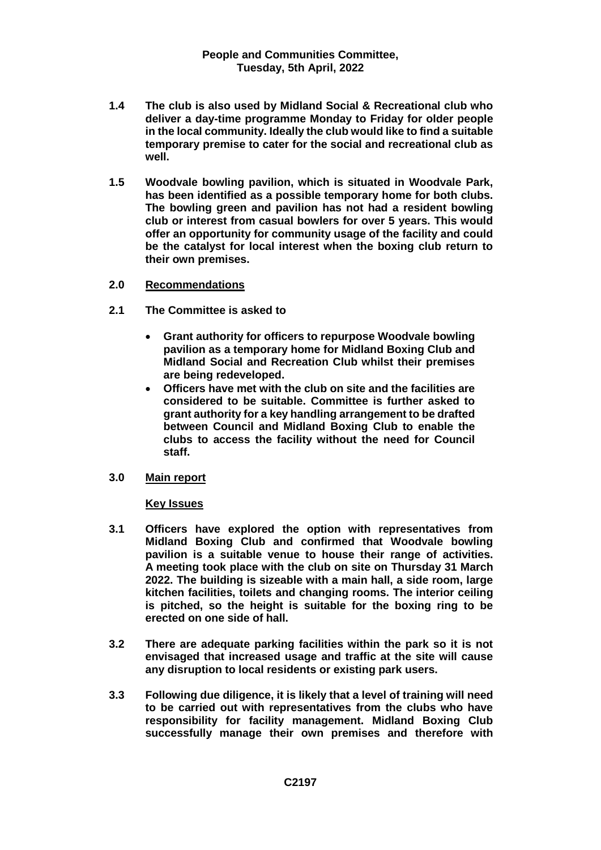- **1.4 The club is also used by Midland Social & Recreational club who deliver a day-time programme Monday to Friday for older people in the local community. Ideally the club would like to find a suitable temporary premise to cater for the social and recreational club as well.**
- **1.5 Woodvale bowling pavilion, which is situated in Woodvale Park, has been identified as a possible temporary home for both clubs. The bowling green and pavilion has not had a resident bowling club or interest from casual bowlers for over 5 years. This would offer an opportunity for community usage of the facility and could be the catalyst for local interest when the boxing club return to their own premises.**
- **2.0 Recommendations**
- **2.1 The Committee is asked to** 
	- **Grant authority for officers to repurpose Woodvale bowling pavilion as a temporary home for Midland Boxing Club and Midland Social and Recreation Club whilst their premises are being redeveloped.**
	- **Officers have met with the club on site and the facilities are considered to be suitable. Committee is further asked to grant authority for a key handling arrangement to be drafted between Council and Midland Boxing Club to enable the clubs to access the facility without the need for Council staff.**
- **3.0 Main report**

#### **Key Issues**

- **3.1 Officers have explored the option with representatives from Midland Boxing Club and confirmed that Woodvale bowling pavilion is a suitable venue to house their range of activities. A meeting took place with the club on site on Thursday 31 March 2022. The building is sizeable with a main hall, a side room, large kitchen facilities, toilets and changing rooms. The interior ceiling is pitched, so the height is suitable for the boxing ring to be erected on one side of hall.**
- **3.2 There are adequate parking facilities within the park so it is not envisaged that increased usage and traffic at the site will cause any disruption to local residents or existing park users.**
- **3.3 Following due diligence, it is likely that a level of training will need to be carried out with representatives from the clubs who have responsibility for facility management. Midland Boxing Club successfully manage their own premises and therefore with**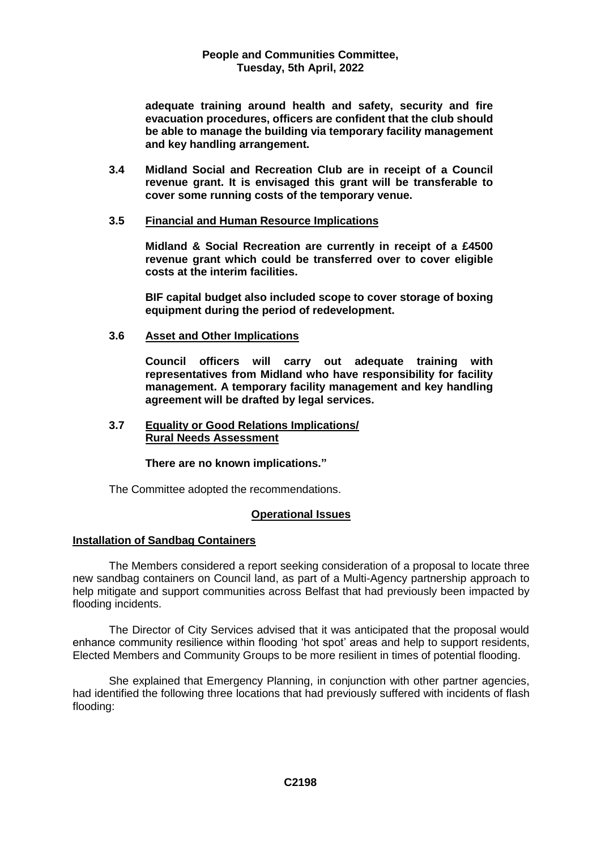**adequate training around health and safety, security and fire evacuation procedures, officers are confident that the club should be able to manage the building via temporary facility management and key handling arrangement.** 

**3.4 Midland Social and Recreation Club are in receipt of a Council revenue grant. It is envisaged this grant will be transferable to cover some running costs of the temporary venue.**

## **3.5 Financial and Human Resource Implications**

**Midland & Social Recreation are currently in receipt of a £4500 revenue grant which could be transferred over to cover eligible costs at the interim facilities.** 

**BIF capital budget also included scope to cover storage of boxing equipment during the period of redevelopment.**

**3.6 Asset and Other Implications**

**Council officers will carry out adequate training with representatives from Midland who have responsibility for facility management. A temporary facility management and key handling agreement will be drafted by legal services.** 

### **3.7 Equality or Good Relations Implications/ Rural Needs Assessment**

**There are no known implications."**

The Committee adopted the recommendations.

#### **Operational Issues**

# **Installation of Sandbag Containers**

The Members considered a report seeking consideration of a proposal to locate three new sandbag containers on Council land, as part of a Multi-Agency partnership approach to help mitigate and support communities across Belfast that had previously been impacted by flooding incidents.

The Director of City Services advised that it was anticipated that the proposal would enhance community resilience within flooding 'hot spot' areas and help to support residents, Elected Members and Community Groups to be more resilient in times of potential flooding.

She explained that Emergency Planning, in conjunction with other partner agencies, had identified the following three locations that had previously suffered with incidents of flash flooding: